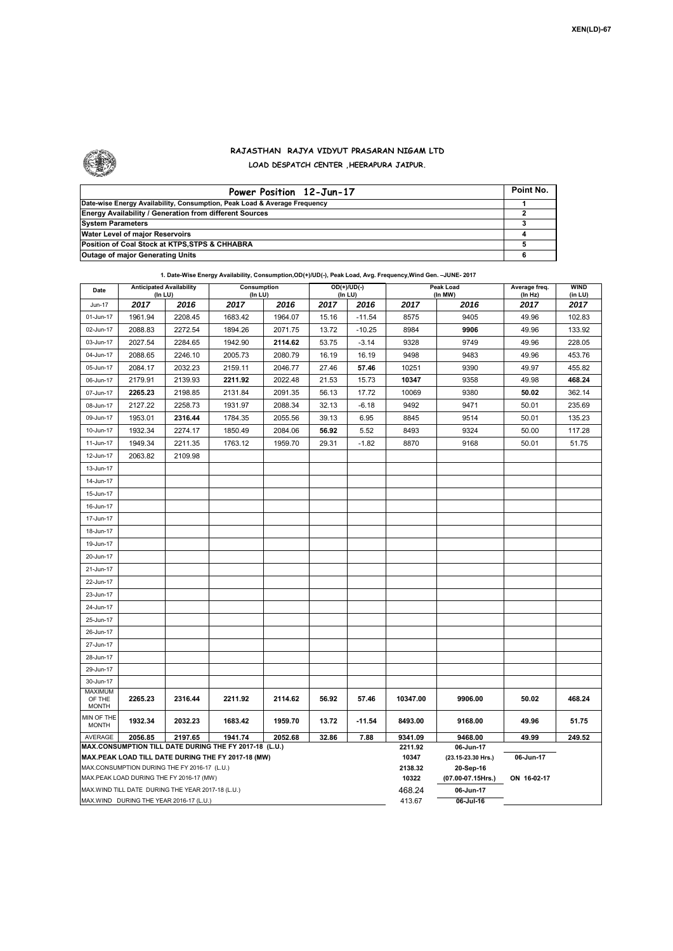

## **RAJASTHAN RAJYA VIDYUT PRASARAN NIGAM LTD LOAD DESPATCH CENTER ,HEERAPURA JAIPUR.**

| Power Position 12-Jun-17                                                  | Point No. |
|---------------------------------------------------------------------------|-----------|
| Date-wise Energy Availability, Consumption, Peak Load & Average Frequency |           |
| <b>Energy Availability / Generation from different Sources</b>            |           |
| <b>System Parameters</b>                                                  |           |
| Water Level of major Reservoirs                                           |           |
| Position of Coal Stock at KTPS, STPS & CHHABRA                            |           |
| <b>Outage of major Generating Units</b>                                   |           |

## **1. Date-Wise Energy Availability, Consumption,OD(+)/UD(-), Peak Load, Avg. Frequency,Wind Gen. –JUNE- 2017**

| Date                                                                                                         | <b>Anticipated Availability</b><br>$($ In LU $)$  |         | <b>Consumption</b><br>$($ In LU $)$ |         | $OD(+)/UD(-)$<br>(In LU) |          |                  | <b>Peak Load</b><br>(In MW)     | Average freq.<br>(In Hz) | <b>WIND</b><br>(in LU) |  |  |
|--------------------------------------------------------------------------------------------------------------|---------------------------------------------------|---------|-------------------------------------|---------|--------------------------|----------|------------------|---------------------------------|--------------------------|------------------------|--|--|
| Jun-17                                                                                                       | 2017                                              | 2016    | 2017                                | 2016    | 2017                     | 2016     | 2017             | 2016                            | 2017                     | 2017                   |  |  |
| 01-Jun-17                                                                                                    | 1961.94                                           | 2208.45 | 1683.42                             | 1964.07 | 15.16                    | $-11.54$ | 8575             | 9405                            | 49.96                    | 102.83                 |  |  |
| 02-Jun-17                                                                                                    | 2088.83                                           | 2272.54 | 1894.26                             | 2071.75 | 13.72                    | $-10.25$ | 8984             | 9906                            | 49.96                    | 133.92                 |  |  |
| 03-Jun-17                                                                                                    | 2027.54                                           | 2284.65 | 1942.90                             | 2114.62 | 53.75                    | $-3.14$  | 9328             | 9749                            | 49.96                    | 228.05                 |  |  |
| 04-Jun-17                                                                                                    | 2088.65                                           | 2246.10 | 2005.73                             | 2080.79 | 16.19                    | 16.19    | 9498             | 9483                            | 49.96                    | 453.76                 |  |  |
| 05-Jun-17                                                                                                    | 2084.17                                           | 2032.23 | 2159.11                             | 2046.77 | 27.46                    | 57.46    | 10251            | 9390                            | 49.97                    | 455.82                 |  |  |
| 06-Jun-17                                                                                                    | 2179.91                                           | 2139.93 | 2211.92                             | 2022.48 | 21.53                    | 15.73    | 10347            | 9358                            | 49.98                    | 468.24                 |  |  |
| 07-Jun-17                                                                                                    | 2265.23                                           | 2198.85 | 2131.84                             | 2091.35 | 56.13                    | 17.72    | 10069            | 9380                            | 50.02                    | 362.14                 |  |  |
| 08-Jun-17                                                                                                    | 2127.22                                           | 2258.73 | 1931.97                             | 2088.34 | 32.13                    | $-6.18$  | 9492             | 9471                            | 50.01                    | 235.69                 |  |  |
| 09-Jun-17                                                                                                    | 1953.01                                           | 2316.44 | 1784.35                             | 2055.56 | 39.13                    | 6.95     | 8845             | 9514                            | 50.01                    | 135.23                 |  |  |
| 10-Jun-17                                                                                                    | 1932.34                                           | 2274.17 | 1850.49                             | 2084.06 | 56.92                    | 5.52     | 8493             | 9324                            | 50.00                    | 117.28                 |  |  |
| 11-Jun-17                                                                                                    | 1949.34                                           | 2211.35 | 1763.12                             | 1959.70 | 29.31                    | $-1.82$  | 8870             | 9168                            | 50.01                    | 51.75                  |  |  |
| 12-Jun-17                                                                                                    | 2063.82                                           | 2109.98 |                                     |         |                          |          |                  |                                 |                          |                        |  |  |
| 13-Jun-17                                                                                                    |                                                   |         |                                     |         |                          |          |                  |                                 |                          |                        |  |  |
| 14-Jun-17                                                                                                    |                                                   |         |                                     |         |                          |          |                  |                                 |                          |                        |  |  |
| 15-Jun-17                                                                                                    |                                                   |         |                                     |         |                          |          |                  |                                 |                          |                        |  |  |
| 16-Jun-17                                                                                                    |                                                   |         |                                     |         |                          |          |                  |                                 |                          |                        |  |  |
| 17-Jun-17                                                                                                    |                                                   |         |                                     |         |                          |          |                  |                                 |                          |                        |  |  |
| 18-Jun-17                                                                                                    |                                                   |         |                                     |         |                          |          |                  |                                 |                          |                        |  |  |
| 19-Jun-17                                                                                                    |                                                   |         |                                     |         |                          |          |                  |                                 |                          |                        |  |  |
| 20-Jun-17                                                                                                    |                                                   |         |                                     |         |                          |          |                  |                                 |                          |                        |  |  |
| 21-Jun-17                                                                                                    |                                                   |         |                                     |         |                          |          |                  |                                 |                          |                        |  |  |
| 22-Jun-17                                                                                                    |                                                   |         |                                     |         |                          |          |                  |                                 |                          |                        |  |  |
| 23-Jun-17                                                                                                    |                                                   |         |                                     |         |                          |          |                  |                                 |                          |                        |  |  |
| 24-Jun-17                                                                                                    |                                                   |         |                                     |         |                          |          |                  |                                 |                          |                        |  |  |
| 25-Jun-17                                                                                                    |                                                   |         |                                     |         |                          |          |                  |                                 |                          |                        |  |  |
| 26-Jun-17                                                                                                    |                                                   |         |                                     |         |                          |          |                  |                                 |                          |                        |  |  |
| 27-Jun-17                                                                                                    |                                                   |         |                                     |         |                          |          |                  |                                 |                          |                        |  |  |
| 28-Jun-17                                                                                                    |                                                   |         |                                     |         |                          |          |                  |                                 |                          |                        |  |  |
| 29-Jun-17                                                                                                    |                                                   |         |                                     |         |                          |          |                  |                                 |                          |                        |  |  |
| 30-Jun-17                                                                                                    |                                                   |         |                                     |         |                          |          |                  |                                 |                          |                        |  |  |
| MAXIMUM<br>OF THE                                                                                            | 2265.23                                           | 2316.44 | 2211.92                             | 2114.62 | 56.92                    | 57.46    | 10347.00         | 9906.00                         | 50.02                    | 468.24                 |  |  |
| <b>MONTH</b>                                                                                                 |                                                   |         |                                     |         |                          |          |                  |                                 |                          |                        |  |  |
| MIN OF THE<br><b>MONTH</b>                                                                                   | 1932.34                                           | 2032.23 | 1683.42                             | 1959.70 | 13.72                    | $-11.54$ | 8493.00          | 9168.00                         | 49.96                    | 51.75                  |  |  |
| AVERAGE<br>2056.85<br>2197.65<br>1941.74<br>2052.68<br>32.86<br>7.88                                         |                                                   |         |                                     |         |                          |          |                  | 9468.00                         | 49.99<br>249.52          |                        |  |  |
| MAX.CONSUMPTION TILL DATE DURING THE FY 2017-18 (L.U.)<br>MAX.PEAK LOAD TILL DATE DURING THE FY 2017-18 (MW) |                                                   |         |                                     |         |                          |          |                  | 06-Jun-17<br>(23.15-23.30 Hrs.) | 06-Jun-17                |                        |  |  |
|                                                                                                              | MAX.CONSUMPTION DURING THE FY 2016-17 (L.U.)      |         |                                     |         |                          |          | 10347<br>2138.32 | 20-Sep-16                       |                          |                        |  |  |
|                                                                                                              | MAX.PEAK LOAD DURING THE FY 2016-17 (MW)          |         |                                     |         |                          |          | 10322            | (07.00-07.15Hrs.)               | ON 16-02-17              |                        |  |  |
|                                                                                                              | MAX.WIND TILL DATE DURING THE YEAR 2017-18 (L.U.) |         |                                     |         |                          |          | 468.24           | 06 Jun-17                       |                          |                        |  |  |
|                                                                                                              | MAX.WIND DURING THE YEAR 2016-17 (L.U.)           |         |                                     | 413.67  | $06$ -Jul-16             |          |                  |                                 |                          |                        |  |  |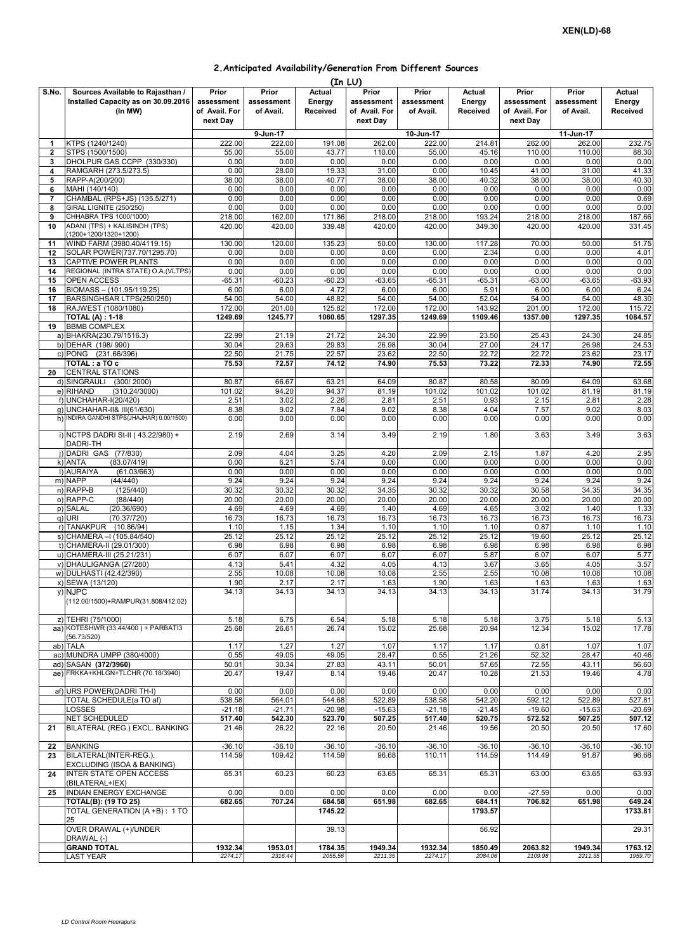## **2.Anticipated Availability/Generation From Different Sources**

|                |                                                                                    |                                      |                                  |                              | (In LU)                              |                                  |                              |                                      |                                  |                              |
|----------------|------------------------------------------------------------------------------------|--------------------------------------|----------------------------------|------------------------------|--------------------------------------|----------------------------------|------------------------------|--------------------------------------|----------------------------------|------------------------------|
| S.No.          | Sources Available to Rajasthan /<br>Installed Capacity as on 30.09.2016<br>(In MW) | Prior<br>assessment<br>of Avail. For | Prior<br>assessment<br>of Avail. | Actual<br>Energy<br>Received | Prior<br>assessment<br>of Avail. For | Prior<br>assessment<br>of Avail. | Actual<br>Energy<br>Received | Prior<br>assessment<br>of Avail. For | Prior<br>assessment<br>of Avail. | Actual<br>Energy<br>Received |
|                |                                                                                    | next Day                             |                                  |                              | next Day                             |                                  |                              | next Day                             |                                  |                              |
|                |                                                                                    |                                      | 9-Jun-17                         |                              |                                      | 10-Jun-17                        |                              |                                      | 11-Jun-17                        |                              |
| 1              | KTPS (1240/1240)                                                                   | 222.00                               | 222.00                           | 191.08                       | 262.00                               | 222.00                           | 214.81                       | 262.00                               | 262.00                           | 232.75                       |
| $\overline{2}$ | STPS (1500/1500)<br>DHOLPUR GAS CCPP (330/330)                                     | 55.00<br>0.00                        | 55.00<br>0.00                    | 43.77<br>0.00                | 110.00<br>0.00                       | 55.00<br>0.00                    | 45.16<br>0.00                | 110.00<br>0.00                       | 110.00<br>0.00                   | 88.30<br>0.00                |
| 3<br>4         | RAMGARH (273.5/273.5)                                                              | 0.00                                 | 28.00                            | 19.33                        | 31.00                                | 0.00                             | 10.45                        | 41.00                                | 31.00                            | 41.33                        |
| 5              | RAPP-A(200/200)                                                                    | 38.00                                | 38.00                            | 40.77                        | 38.00                                | 38.00                            | 40.32                        | 38.00                                | 38.00                            | 40.30                        |
| 6              | MAHI (140/140)                                                                     | 0.00                                 | 0.00                             | 0.00                         | 0.00                                 | 0.00                             | 0.00                         | 0.00                                 | 0.00                             | 0.00                         |
| $\overline{7}$ | CHAMBAL (RPS+JS) (135.5/271)                                                       | 0.00                                 | 0.00                             | 0.00                         | 0.00                                 | 0.00                             | 0.00                         | 0.00                                 | 0.00                             | 0.69                         |
| 8              | GIRAL LIGNITE (250/250)                                                            | 0.00                                 | 0.00                             | 0.00                         | 0.00                                 | 0.00                             | 0.00                         | 0.00                                 | 0.00                             | 0.00                         |
| 9<br>10        | CHHABRA TPS 1000/1000)<br>ADANI (TPS) + KALISINDH (TPS)                            | 218.00                               | 162.00<br>420.00                 | 171.86<br>339.48             | 218.00                               | 218.00                           | 193.24                       | 218.00                               | 218.00                           | 187.66                       |
|                | (1200+1200/1320+1200)                                                              | 420.00                               |                                  |                              | 420.00                               | 420.00                           | 349.30                       | 420.00                               | 420.00                           | 331.45                       |
| 11             | WIND FARM (3980.40/4119.15)                                                        | 130.00                               | 120.00                           | 135.23                       | 50.00                                | 130.00                           | 117.28                       | 70.00                                | 50.00                            | 51.75                        |
| 12             | SOLAR POWER(737.70/1295.70)                                                        | 0.00                                 | 0.00                             | 0.00                         | 0.00                                 | 0.00                             | 2.34                         | 0.00                                 | 0.00                             | 4.01                         |
| 13             | CAPTIVE POWER PLANTS                                                               | 0.00                                 | 0.00                             | 0.00                         | 0.00                                 | 0.00                             | 0.00                         | 0.00                                 | 0.00                             | 0.00                         |
| 14             | REGIONAL (INTRA STATE) O.A. (VLTPS)                                                | 0.00                                 | 0.00                             | 0.00                         | 0.00                                 | 0.00                             | 0.00                         | 0.00                                 | 0.00                             | 0.00                         |
| 15<br>16       | <b>OPEN ACCESS</b><br>BIOMASS - (101.95/119.25)                                    | $-65.31$<br>6.00                     | $-60.23$<br>6.00                 | $-60.23$<br>4.72             | $-63.65$<br>6.00                     | $-65.31$<br>6.00                 | $-65.31$<br>5.91             | $-63.00$<br>6.00                     | $-63.65$<br>6.00                 | $-63.93$<br>6.24             |
| 17             | BARSINGHSAR LTPS(250/250)                                                          | 54.00                                | 54.00                            | 48.82                        | 54.00                                | 54.00                            | 52.04                        | 54.00                                | 54.00                            | 48.30                        |
| 18             | RAJWEST (1080/1080)                                                                | 172.00                               | 201.00                           | 125.82                       | 172.00                               | 172.00                           | 143.92                       | 201.00                               | 172.00                           | 115.72                       |
|                | <b>TOTAL (A): 1-18</b>                                                             | 1249.69                              | 1245.77                          | 1060.65                      | 1297.35                              | 1249.69                          | 1109.46                      | 1357.00                              | 1297.35                          | 1084.57                      |
| 19             | <b>BBMB COMPLEX</b>                                                                |                                      |                                  |                              |                                      |                                  |                              |                                      |                                  |                              |
|                | a) BHAKRA(230.79/1516.3)                                                           | 22.99                                | 21.19                            | 21.72                        | 24.30                                | 22.99                            | 23.50                        | 25.43                                | 24.30                            | 24.85                        |
|                | b) DEHAR (198/990)<br>c) PONG (231.66/396)                                         | 30.04<br>22.50                       | 29.63<br>21.75                   | 29.83<br>22.57               | 26.98<br>23.62                       | 30.04<br>22.50                   | 27.00<br>22.72               | 24.17<br>22.72                       | 26.98<br>23.62                   | 24.53<br>23.17               |
|                | TOTAL : a TO c                                                                     | 75.53                                | 72.57                            | 74.12                        | 74.90                                | 75.53                            | 73.22                        | 72.33                                | 74.90                            | 72.55                        |
| 20             | <b>CENTRAL STATIONS</b>                                                            |                                      |                                  |                              |                                      |                                  |                              |                                      |                                  |                              |
|                | d) SINGRAULI (300/2000)                                                            | 80.87                                | 66.67                            | 63.21                        | 64.09                                | 80.87                            | 80.58                        | 80.09                                | 64.09                            | 63.68                        |
|                | (310.24/3000)<br>e) RIHAND                                                         | 101.02                               | 94.20                            | 94.37                        | 81.19                                | 101.02                           | 101.02                       | 101.02                               | 81.19                            | 81.19                        |
|                | f) UNCHAHAR-I(20/420)                                                              | 2.51                                 | 3.02                             | 2.26                         | 2.81                                 | 2.51                             | 0.93                         | 2.15                                 | 2.81                             | 2.28                         |
|                | g) UNCHAHAR-II& III(61/630)<br>h) INDIRA GANDHI STPS(JHAJHAR) 0.00/1500)           | 8.38<br>0.00                         | 9.02<br>0.00                     | 7.84<br>0.00                 | 9.02<br>0.00                         | 8.38<br>0.00                     | 4.04<br>0.00                 | 7.57<br>0.00                         | 9.02<br>0.00                     | 8.03<br>0.00                 |
|                |                                                                                    |                                      |                                  |                              |                                      |                                  |                              |                                      |                                  |                              |
|                | i) NCTPS DADRI St-II (43.22/980) +<br>DADRI-TH                                     | 2.19                                 | 2.69                             | 3.14                         | 3.49                                 | 2.19                             | 1.80                         | 3.63                                 | 3.49                             | 3.63                         |
|                | j) DADRI GAS (77/830)                                                              | 2.09                                 | 4.04                             | 3.25                         | 4.20                                 | 2.09                             | 2.15                         | 1.87                                 | 4.20                             | 2.95                         |
|                | k) ANTA<br>(83.07/419)                                                             | 0.00                                 | 6.21                             | 5.74                         | 0.00                                 | 0.00                             | 0.00                         | 0.00                                 | 0.00                             | 0.00                         |
|                | I) AURAIYA<br>(61.03/663)                                                          | 0.00<br>9.24                         | 0.00<br>9.24                     | 0.00<br>9.24                 | 0.00                                 | 0.00                             | 0.00<br>9.24                 | 0.00<br>9.24                         | 0.00<br>9.24                     | 0.00                         |
|                | m) NAPP<br>(44/440)<br>n) RAPP-B<br>(125/440)                                      | 30.32                                | 30.32                            | 30.32                        | 9.24<br>34.35                        | 9.24<br>30.32                    | 30.32                        | 30.58                                | 34.35                            | 9.24<br>34.35                |
|                | o) RAPP-C<br>(88/440)                                                              | 20.00                                | 20.00                            | 20.00                        | 20.00                                | 20.00                            | 20.00                        | 20.00                                | 20.00                            | 20.00                        |
|                | p) SALAL<br>(20.36/690)                                                            | 4.69                                 | 4.69                             | 4.69                         | 1.40                                 | 4.69                             | 4.65                         | 3.02                                 | 1.40                             | 1.33                         |
|                | q) URI<br>(70.37/720)                                                              | 16.73                                | 16.73                            | 16.73                        | 16.73                                | 16.73                            | 16.73                        | 16.73                                | 16.73                            | 16.73                        |
|                | r) TANAKPUR (10.86/94)                                                             | 1.10                                 | 1.15                             | 1.34                         | 1.10                                 | 1.10                             | 1.10                         | 0.87                                 | 1.10                             | 1.10                         |
|                | s) CHAMERA - (105.84/540)                                                          | 25.12                                | 25.12                            | 25.12                        | 25.12                                | 25.12                            | 25.12                        | 19.60                                | 25.12                            | 25.12                        |
|                | t) CHAMERA-II (29.01/300)<br>u) CHAMERA-III (25.21/231)                            | 6.98<br>6.07                         | 6.98<br>6.07                     | 6.98<br>6.07                 | 6.98<br>6.07                         | 6.98<br>6.07                     | 6.98<br>5.87                 | 6.98<br>6.07                         | 6.98<br>6.07                     | 6.98<br>5.77                 |
|                | v) DHAULIGANGA (27/280)                                                            | 4.13                                 | 5.41                             | 4.32                         | 4.05                                 | 4.13                             | 3.67                         | 3.65                                 | 4.05                             | 3.57                         |
|                | w) DULHASTI (42.42/390)                                                            | 2.55                                 | 10.08                            | 10.08                        | 10.08                                | 2.55                             | 2.55                         | 10.08                                | 10.08                            | 10.08                        |
|                | x) SEWA (13/120)                                                                   | 1.90                                 | 2.17                             | 2.17                         | 1.63                                 | 1.90                             | 1.63                         | 1.63                                 | 1.63                             | 1.63                         |
|                | y) NJPC<br>(112.00/1500)+RAMPUR(31.808/412.02)                                     | 34.13                                | 34.13                            | 34.13                        | 34.13                                | 34.13                            | 34.13                        | 31.74                                | 34.13                            | 31.79                        |
|                |                                                                                    |                                      |                                  |                              |                                      |                                  |                              |                                      |                                  |                              |
|                | z) TEHRI (75/1000)<br>aa) KOTESHWR (33.44/400) + PARBATI3                          | 5.18<br>25.68                        | 6.75<br>26.61                    | 6.54<br>26.74                | 5.18<br>15.02                        | 5.18<br>25.68                    | 5.18<br>20.94                | 3.75<br>12.34                        | 5.18<br>15.02                    | 5.13<br>17.78                |
|                | (56.73/520)                                                                        |                                      |                                  |                              |                                      |                                  |                              |                                      |                                  |                              |
|                | ab) TALA                                                                           | 1.17                                 | 1.27                             | 1.27                         | 1.07                                 | 1.17                             | 1.17                         | 0.81                                 | 1.07                             | 1.07                         |
|                | ac) MUNDRA UMPP (380/4000)                                                         | 0.55                                 | 49.05                            | 49.05                        | 28.47                                | 0.55                             | 21.26                        | 52.32                                | 28.47                            | 40.46                        |
|                | ad) SASAN (372/3960)                                                               | 50.01                                | 30.34                            | 27.83                        | 43.11                                | 50.01                            | 57.65                        | 72.55                                | 43.11                            | 56.60                        |
|                | ae) FRKKA+KHLGN+TLCHR (70.18/3940)                                                 | 20.47                                | 19.47                            | 8.14                         | 19.46                                | 20.47                            | 10.28                        | 21.53                                | 19.46                            | 4.78                         |
|                | af) URS POWER(DADRI TH-I)<br>TOTAL SCHEDULE(a TO af)                               | 0.00<br>538.58                       | 0.00                             | 0.00                         | 0.00                                 | 0.00                             | 0.00                         | 0.00                                 | 0.00                             | 0.00                         |
|                | <b>_OSSES</b>                                                                      | $-21.18$                             | 564.01<br>$-21.71$               | 544.68<br>$-20.98$           | 522.89<br>$-15.63$                   | 538.58<br>$-21.18$               | 542.20<br>$-21.45$           | 592.12<br>$-19.60$                   | 522.89<br>$-15.63$               | 527.81<br>$-20.69$           |
|                | <b>NET SCHEDULED</b>                                                               | 517.40                               | 542.30                           | 523.70                       | 507.25                               | 517.40                           | 520.75                       | 572.52                               | 507.25                           | 507.12                       |
| 21             | BILATERAL (REG.) EXCL. BANKING                                                     | 21.46                                | 26.22                            | 22.16                        | 20.50                                | 21.46                            | 19.56                        | 20.50                                | 20.50                            | 17.60                        |
| 22             | <b>BANKING</b>                                                                     | $-36.10$                             | $-36.10$                         | $-36.10$                     | $-36.10$                             | $-36.10$                         | $-36.10$                     | $-36.10$                             | $-36.10$                         | $-36.10$                     |
| 23             | BILATERAL(INTER-REG.).<br>EXCLUDING (ISOA & BANKING)                               | 114.59                               | 109.42                           | 114.59                       | 96.68                                | 110.11                           | 114.59                       | 114.49                               | 91.87                            | 96.68                        |
| 24             | <b>INTER STATE OPEN ACCESS</b><br>(BILATERAL+IEX)                                  | 65.31                                | 60.23                            | 60.23                        | 63.65                                | 65.31                            | 65.31                        | 63.00                                | 63.65                            | 63.93                        |
| 25             | INDIAN ENERGY EXCHANGE                                                             | 0.00                                 | 0.00                             | 0.00                         | 0.00                                 | 0.00                             | 0.00                         | $-27.59$                             | 0.00                             | 0.00                         |
|                | <b>TOTAL(B): (19 TO 25)</b>                                                        | 682.65                               | 707.24                           | 684.58                       | 651.98                               | 682.65                           | 684.11                       | 706.82                               | 651.98                           | 649.24                       |
|                | TOTAL GENERATION (A +B): 1 TO                                                      |                                      |                                  | 1745.22                      |                                      |                                  | 1793.57                      |                                      |                                  | 1733.81                      |
|                | 25<br>OVER DRAWAL (+)/UNDER                                                        |                                      |                                  | 39.13                        |                                      |                                  | 56.92                        |                                      |                                  | 29.31                        |
|                | DRAWAL (-)                                                                         |                                      |                                  |                              |                                      |                                  |                              |                                      |                                  |                              |
|                | <b>GRAND TOTAL</b>                                                                 | 1932.34<br>2274.17                   | 1953.01<br>2316.44               | 1784.35<br>2055.56           | 1949.34<br>2211.35                   | 1932.34<br>2274.17               | 1850.49<br>2084.06           | 2063.82<br>2109.98                   | 1949.34<br>2211.35               | 1763.12<br>1959.70           |
|                | LAST YEAR                                                                          |                                      |                                  |                              |                                      |                                  |                              |                                      |                                  |                              |